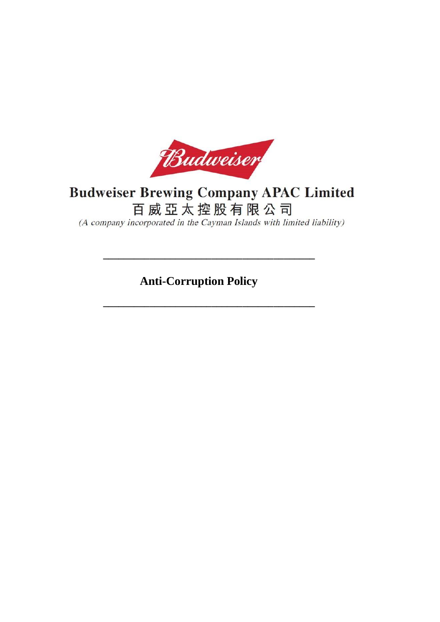

# **Budweiser Brewing Company APAC Limited**

百威亞太控股有限公司

(A company incorporated in the Cayman Islands with limited liability)

**Anti-Corruption Policy**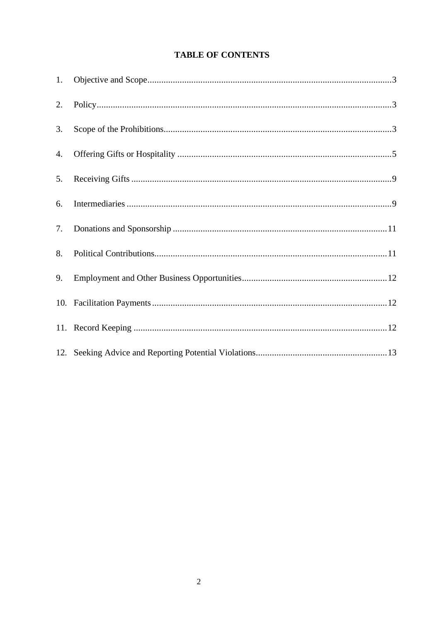# **TABLE OF CONTENTS**

| 1. |  |
|----|--|
| 2. |  |
| 3. |  |
| 4. |  |
| 5. |  |
| 6. |  |
| 7. |  |
| 8. |  |
| 9. |  |
|    |  |
|    |  |
|    |  |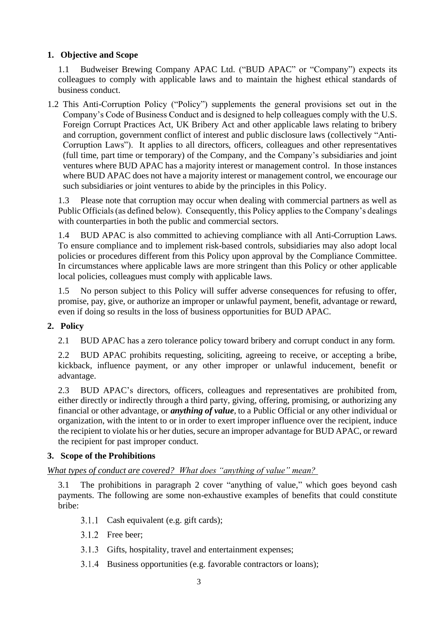# <span id="page-2-0"></span>**1. Objective and Scope**

1.1 Budweiser Brewing Company APAC Ltd. ("BUD APAC" or "Company") expects its colleagues to comply with applicable laws and to maintain the highest ethical standards of business conduct.

1.2 This Anti-Corruption Policy ("Policy") supplements the general provisions set out in the Company's Code of Business Conduct and is designed to help colleagues comply with the U.S. Foreign Corrupt Practices Act, UK Bribery Act and other applicable laws relating to bribery and corruption, government conflict of interest and public disclosure laws (collectively "Anti-Corruption Laws"). It applies to all directors, officers, colleagues and other representatives (full time, part time or temporary) of the Company, and the Company's subsidiaries and joint ventures where BUD APAC has a majority interest or management control. In those instances where BUD APAC does not have a majority interest or management control, we encourage our such subsidiaries or joint ventures to abide by the principles in this Policy.

1.3 Please note that corruption may occur when dealing with commercial partners as well as Public Officials (as defined below). Consequently, this Policy applies to the Company's dealings with counterparties in both the public and commercial sectors.

1.4 BUD APAC is also committed to achieving compliance with all Anti-Corruption Laws. To ensure compliance and to implement risk-based controls, subsidiaries may also adopt local policies or procedures different from this Policy upon approval by the Compliance Committee. In circumstances where applicable laws are more stringent than this Policy or other applicable local policies, colleagues must comply with applicable laws.

1.5 No person subject to this Policy will suffer adverse consequences for refusing to offer, promise, pay, give, or authorize an improper or unlawful payment, benefit, advantage or reward, even if doing so results in the loss of business opportunities for BUD APAC.

# <span id="page-2-1"></span>**2. Policy**

2.1 BUD APAC has a zero tolerance policy toward bribery and corrupt conduct in any form.

2.2 BUD APAC prohibits requesting, soliciting, agreeing to receive, or accepting a bribe, kickback, influence payment, or any other improper or unlawful inducement, benefit or advantage.

2.3 BUD APAC's directors, officers, colleagues and representatives are prohibited from, either directly or indirectly through a third party, giving, offering, promising, or authorizing any financial or other advantage, or *anything of value*, to a Public Official or any other individual or organization, with the intent to or in order to exert improper influence over the recipient, induce the recipient to violate his or her duties, secure an improper advantage for BUD APAC, or reward the recipient for past improper conduct.

## <span id="page-2-2"></span>**3. Scope of the Prohibitions**

# *What types of conduct are covered? What does "anything of value" mean?*

3.1 The prohibitions in paragraph 2 cover "anything of value," which goes beyond cash payments. The following are some non-exhaustive examples of benefits that could constitute bribe:

- 3.1.1 Cash equivalent (e.g. gift cards);
- 3.1.2 Free beer;
- 3.1.3 Gifts, hospitality, travel and entertainment expenses;
- 3.1.4 Business opportunities (e.g. favorable contractors or loans);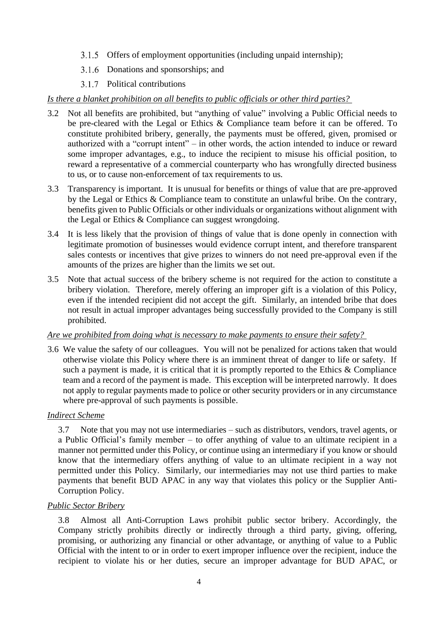- 3.1.5 Offers of employment opportunities (including unpaid internship);
- 3.1.6 Donations and sponsorships; and
- 3.1.7 Political contributions

## *Is there a blanket prohibition on all benefits to public officials or other third parties?*

- 3.2 Not all benefits are prohibited, but "anything of value" involving a Public Official needs to be pre-cleared with the Legal or Ethics & Compliance team before it can be offered. To constitute prohibited bribery, generally, the payments must be offered, given, promised or authorized with a "corrupt intent" – in other words, the action intended to induce or reward some improper advantages, e.g., to induce the recipient to misuse his official position, to reward a representative of a commercial counterparty who has wrongfully directed business to us, or to cause non-enforcement of tax requirements to us.
- 3.3 Transparency is important. It is unusual for benefits or things of value that are pre-approved by the Legal or Ethics & Compliance team to constitute an unlawful bribe. On the contrary, benefits given to Public Officials or other individuals or organizations without alignment with the Legal or Ethics & Compliance can suggest wrongdoing.
- 3.4 It is less likely that the provision of things of value that is done openly in connection with legitimate promotion of businesses would evidence corrupt intent, and therefore transparent sales contests or incentives that give prizes to winners do not need pre-approval even if the amounts of the prizes are higher than the limits we set out.
- 3.5 Note that actual success of the bribery scheme is not required for the action to constitute a bribery violation. Therefore, merely offering an improper gift is a violation of this Policy, even if the intended recipient did not accept the gift. Similarly, an intended bribe that does not result in actual improper advantages being successfully provided to the Company is still prohibited.

## *Are we prohibited from doing what is necessary to make payments to ensure their safety?*

3.6 We value the safety of our colleagues. You will not be penalized for actions taken that would otherwise violate this Policy where there is an imminent threat of danger to life or safety. If such a payment is made, it is critical that it is promptly reported to the Ethics & Compliance team and a record of the payment is made. This exception will be interpreted narrowly. It does not apply to regular payments made to police or other security providers or in any circumstance where pre-approval of such payments is possible.

## *Indirect Scheme*

3.7 Note that you may not use intermediaries – such as distributors, vendors, travel agents, or a Public Official's family member – to offer anything of value to an ultimate recipient in a manner not permitted under this Policy, or continue using an intermediary if you know or should know that the intermediary offers anything of value to an ultimate recipient in a way not permitted under this Policy. Similarly, our intermediaries may not use third parties to make payments that benefit BUD APAC in any way that violates this policy or the Supplier Anti-Corruption Policy.

## *Public Sector Bribery*

3.8 Almost all Anti-Corruption Laws prohibit public sector bribery. Accordingly, the Company strictly prohibits directly or indirectly through a third party, giving, offering, promising, or authorizing any financial or other advantage, or anything of value to a Public Official with the intent to or in order to exert improper influence over the recipient, induce the recipient to violate his or her duties, secure an improper advantage for BUD APAC, or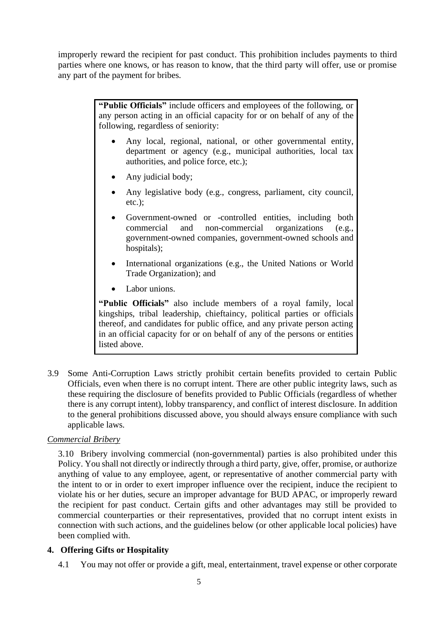improperly reward the recipient for past conduct. This prohibition includes payments to third parties where one knows, or has reason to know, that the third party will offer, use or promise any part of the payment for bribes.

> **"Public Officials"** include officers and employees of the following, or any person acting in an official capacity for or on behalf of any of the following, regardless of seniority:

- Any local, regional, national, or other governmental entity, department or agency (e.g., municipal authorities, local tax authorities, and police force, etc.);
- Any judicial body;
- Any legislative body (e.g., congress, parliament, city council, etc.);
- Government-owned or -controlled entities, including both commercial and non-commercial organizations (e.g., government-owned companies, government-owned schools and hospitals);
- International organizations (e.g., the United Nations or World Trade Organization); and
- Labor unions.

**"Public Officials"** also include members of a royal family, local kingships, tribal leadership, chieftaincy, political parties or officials thereof, and candidates for public office, and any private person acting in an official capacity for or on behalf of any of the persons or entities listed above.

3.9 Some Anti-Corruption Laws strictly prohibit certain benefits provided to certain Public Officials, even when there is no corrupt intent. There are other public integrity laws, such as these requiring the disclosure of benefits provided to Public Officials (regardless of whether there is any corrupt intent), lobby transparency, and conflict of interest disclosure. In addition to the general prohibitions discussed above, you should always ensure compliance with such applicable laws.

## *Commercial Bribery*

3.10 Bribery involving commercial (non-governmental) parties is also prohibited under this Policy. You shall not directly or indirectly through a third party, give, offer, promise, or authorize anything of value to any employee, agent, or representative of another commercial party with the intent to or in order to exert improper influence over the recipient, induce the recipient to violate his or her duties, secure an improper advantage for BUD APAC, or improperly reward the recipient for past conduct. Certain gifts and other advantages may still be provided to commercial counterparties or their representatives, provided that no corrupt intent exists in connection with such actions, and the guidelines below (or other applicable local policies) have been complied with.

## <span id="page-4-0"></span>**4. Offering Gifts or Hospitality**

4.1 You may not offer or provide a gift, meal, entertainment, travel expense or other corporate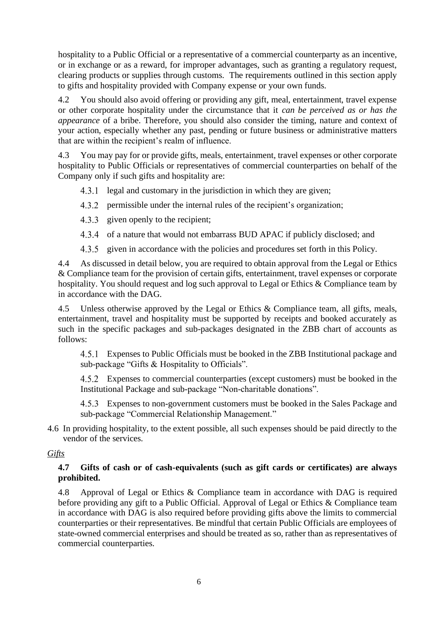hospitality to a Public Official or a representative of a commercial counterparty as an incentive, or in exchange or as a reward, for improper advantages, such as granting a regulatory request, clearing products or supplies through customs. The requirements outlined in this section apply to gifts and hospitality provided with Company expense or your own funds.

4.2 You should also avoid offering or providing any gift, meal, entertainment, travel expense or other corporate hospitality under the circumstance that it *can be perceived as or has the appearance* of a bribe. Therefore, you should also consider the timing, nature and context of your action, especially whether any past, pending or future business or administrative matters that are within the recipient's realm of influence.

4.3 You may pay for or provide gifts, meals, entertainment, travel expenses or other corporate hospitality to Public Officials or representatives of commercial counterparties on behalf of the Company only if such gifts and hospitality are:

4.3.1 legal and customary in the jurisdiction in which they are given;

- 4.3.2 permissible under the internal rules of the recipient's organization;
- 4.3.3 given openly to the recipient;
- 4.3.4 of a nature that would not embarrass BUD APAC if publicly disclosed; and
- 4.3.5 given in accordance with the policies and procedures set forth in this Policy.

4.4 As discussed in detail below, you are required to obtain approval from the Legal or Ethics & Compliance team for the provision of certain gifts, entertainment, travel expenses or corporate hospitality. You should request and log such approval to Legal or Ethics & Compliance team by in accordance with the DAG.

4.5 Unless otherwise approved by the Legal or Ethics & Compliance team, all gifts, meals, entertainment, travel and hospitality must be supported by receipts and booked accurately as such in the specific packages and sub-packages designated in the ZBB chart of accounts as follows:

Expenses to Public Officials must be booked in the ZBB Institutional package and sub-package "Gifts & Hospitality to Officials".

Expenses to commercial counterparties (except customers) must be booked in the Institutional Package and sub-package "Non-charitable donations".

Expenses to non-government customers must be booked in the Sales Package and sub-package "Commercial Relationship Management."

4.6 In providing hospitality, to the extent possible, all such expenses should be paid directly to the vendor of the services.

#### *Gifts*

#### **4.7 Gifts of cash or of cash-equivalents (such as gift cards or certificates) are always prohibited.**

4.8 Approval of Legal or Ethics & Compliance team in accordance with DAG is required before providing any gift to a Public Official. Approval of Legal or Ethics & Compliance team in accordance with DAG is also required before providing gifts above the limits to commercial counterparties or their representatives. Be mindful that certain Public Officials are employees of state-owned commercial enterprises and should be treated as so, rather than as representatives of commercial counterparties.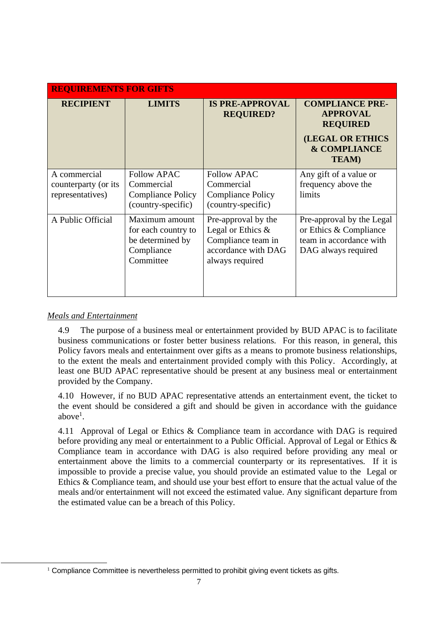| <b>REQUIREMENTS FOR GIFTS</b>                            |                                                                                      |                                                                                                             |                                                                                                                                     |  |  |  |  |
|----------------------------------------------------------|--------------------------------------------------------------------------------------|-------------------------------------------------------------------------------------------------------------|-------------------------------------------------------------------------------------------------------------------------------------|--|--|--|--|
| <b>RECIPIENT</b>                                         | <b>LIMITS</b>                                                                        | <b>IS PRE-APPROVAL</b><br><b>REQUIRED?</b>                                                                  | <b>COMPLIANCE PRE-</b><br><b>APPROVAL</b><br><b>REQUIRED</b><br><b>(LEGAL OR ETHICS</b><br><b>&amp; COMPLIANCE</b><br><b>TEAM</b> ) |  |  |  |  |
| A commercial<br>counterparty (or its<br>representatives) | <b>Follow APAC</b><br>Commercial<br>Compliance Policy<br>(country-specific)          | <b>Follow APAC</b><br>Commercial<br><b>Compliance Policy</b><br>(country-specific)                          | Any gift of a value or<br>frequency above the<br>limits                                                                             |  |  |  |  |
| A Public Official                                        | Maximum amount<br>for each country to<br>be determined by<br>Compliance<br>Committee | Pre-approval by the<br>Legal or Ethics $\&$<br>Compliance team in<br>accordance with DAG<br>always required | Pre-approval by the Legal<br>or Ethics & Compliance<br>team in accordance with<br>DAG always required                               |  |  |  |  |

#### *Meals and Entertainment*

4.9 The purpose of a business meal or entertainment provided by BUD APAC is to facilitate business communications or foster better business relations. For this reason, in general, this Policy favors meals and entertainment over gifts as a means to promote business relationships, to the extent the meals and entertainment provided comply with this Policy. Accordingly, at least one BUD APAC representative should be present at any business meal or entertainment provided by the Company.

4.10 However, if no BUD APAC representative attends an entertainment event, the ticket to the event should be considered a gift and should be given in accordance with the guidance above<sup>1</sup>.

4.11 Approval of Legal or Ethics & Compliance team in accordance with DAG is required before providing any meal or entertainment to a Public Official. Approval of Legal or Ethics & Compliance team in accordance with DAG is also required before providing any meal or entertainment above the limits to a commercial counterparty or its representatives. If it is impossible to provide a precise value, you should provide an estimated value to the Legal or Ethics & Compliance team, and should use your best effort to ensure that the actual value of the meals and/or entertainment will not exceed the estimated value. Any significant departure from the estimated value can be a breach of this Policy.

 $1$  Compliance Committee is nevertheless permitted to prohibit giving event tickets as gifts.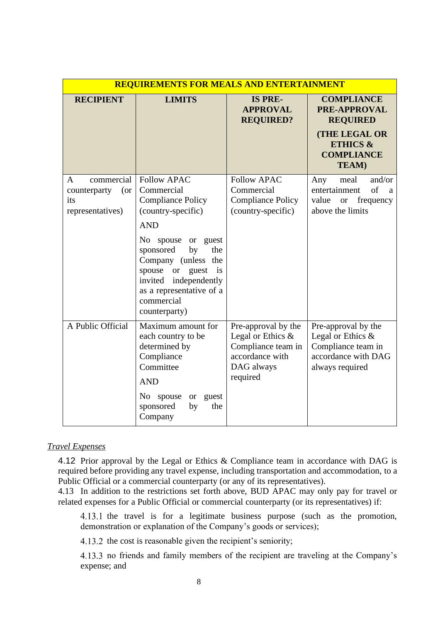| <b>REQUIREMENTS FOR MEALS AND ENTERTAINMENT</b>                   |                                                                                                                                                                                                                                                                                         |                                                                                                             |                                                                                                                                                 |  |  |  |  |
|-------------------------------------------------------------------|-----------------------------------------------------------------------------------------------------------------------------------------------------------------------------------------------------------------------------------------------------------------------------------------|-------------------------------------------------------------------------------------------------------------|-------------------------------------------------------------------------------------------------------------------------------------------------|--|--|--|--|
| <b>RECIPIENT</b>                                                  | <b>LIMITS</b>                                                                                                                                                                                                                                                                           | <b>IS PRE-</b><br><b>APPROVAL</b><br><b>REQUIRED?</b>                                                       | <b>COMPLIANCE</b><br><b>PRE-APPROVAL</b><br><b>REQUIRED</b><br><b>(THE LEGAL OR</b><br><b>ETHICS &amp;</b><br><b>COMPLIANCE</b><br><b>TEAM)</b> |  |  |  |  |
| commercial<br>A<br>counterparty<br>(or<br>its<br>representatives) | <b>Follow APAC</b><br>Commercial<br><b>Compliance Policy</b><br>(country-specific)<br><b>AND</b><br>No spouse or guest<br>sponsored<br>by<br>the<br>Company (unless the<br>or guest<br>spouse<br>is<br>invited independently<br>as a representative of a<br>commercial<br>counterparty) | <b>Follow APAC</b><br>Commercial<br><b>Compliance Policy</b><br>(country-specific)                          | and/or<br>meal<br>Any<br>of<br>entertainment<br>a<br>value<br>frequency<br><b>or</b><br>above the limits                                        |  |  |  |  |
| A Public Official                                                 | Maximum amount for<br>each country to be<br>determined by<br>Compliance<br>Committee<br><b>AND</b><br>No spouse<br><b>or</b><br>guest<br>sponsored<br>the<br>by<br>Company                                                                                                              | Pre-approval by the<br>Legal or Ethics &<br>Compliance team in<br>accordance with<br>DAG always<br>required | Pre-approval by the<br>Legal or Ethics &<br>Compliance team in<br>accordance with DAG<br>always required                                        |  |  |  |  |

#### *Travel Expenses*

4.12 Prior approval by the Legal or Ethics & Compliance team in accordance with DAG is required before providing any travel expense, including transportation and accommodation, to a Public Official or a commercial counterparty (or any of its representatives).

4.13 In addition to the restrictions set forth above, BUD APAC may only pay for travel or related expenses for a Public Official or commercial counterparty (or its representatives) if:

4.13.1 the travel is for a legitimate business purpose (such as the promotion, demonstration or explanation of the Company's goods or services);

4.13.2 the cost is reasonable given the recipient's seniority;

4.13.3 no friends and family members of the recipient are traveling at the Company's expense; and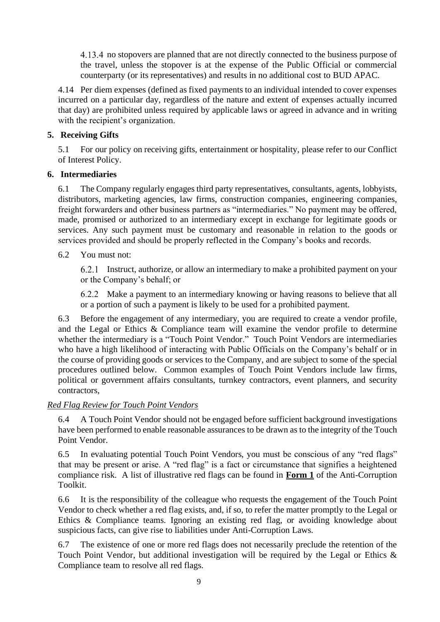4.13.4 no stopovers are planned that are not directly connected to the business purpose of the travel, unless the stopover is at the expense of the Public Official or commercial counterparty (or its representatives) and results in no additional cost to BUD APAC.

4.14 Per diem expenses (defined as fixed payments to an individual intended to cover expenses incurred on a particular day, regardless of the nature and extent of expenses actually incurred that day) are prohibited unless required by applicable laws or agreed in advance and in writing with the recipient's organization.

# <span id="page-8-0"></span>**5. Receiving Gifts**

5.1 For our policy on receiving gifts, entertainment or hospitality, please refer to our Conflict of Interest Policy.

## <span id="page-8-1"></span>**6. Intermediaries**

6.1 The Company regularly engages third party representatives, consultants, agents, lobbyists, distributors, marketing agencies, law firms, construction companies, engineering companies, freight forwarders and other business partners as "intermediaries." No payment may be offered, made, promised or authorized to an intermediary except in exchange for legitimate goods or services. Any such payment must be customary and reasonable in relation to the goods or services provided and should be properly reflected in the Company's books and records.

# 6.2 You must not:

Instruct, authorize, or allow an intermediary to make a prohibited payment on your or the Company's behalf; or

Make a payment to an intermediary knowing or having reasons to believe that all or a portion of such a payment is likely to be used for a prohibited payment.

6.3 Before the engagement of any intermediary, you are required to create a vendor profile, and the Legal or Ethics & Compliance team will examine the vendor profile to determine whether the intermediary is a "Touch Point Vendor." Touch Point Vendors are intermediaries who have a high likelihood of interacting with Public Officials on the Company's behalf or in the course of providing goods or services to the Company, and are subject to some of the special procedures outlined below. Common examples of Touch Point Vendors include law firms, political or government affairs consultants, turnkey contractors, event planners, and security contractors,

## *Red Flag Review for Touch Point Vendors*

6.4 A Touch Point Vendor should not be engaged before sufficient background investigations have been performed to enable reasonable assurances to be drawn as to the integrity of the Touch Point Vendor.

6.5 In evaluating potential Touch Point Vendors, you must be conscious of any "red flags" that may be present or arise. A "red flag" is a fact or circumstance that signifies a heightened compliance risk. A list of illustrative red flags can be found in **Form 1** of the Anti-Corruption Toolkit.

6.6 It is the responsibility of the colleague who requests the engagement of the Touch Point Vendor to check whether a red flag exists, and, if so, to refer the matter promptly to the Legal or Ethics & Compliance teams. Ignoring an existing red flag, or avoiding knowledge about suspicious facts, can give rise to liabilities under Anti-Corruption Laws.

6.7 The existence of one or more red flags does not necessarily preclude the retention of the Touch Point Vendor, but additional investigation will be required by the Legal or Ethics & Compliance team to resolve all red flags.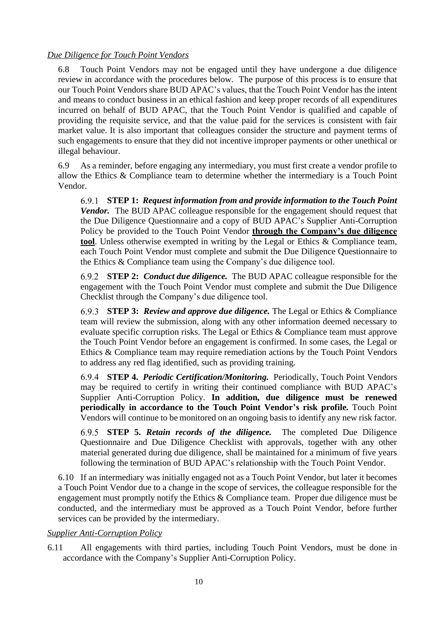# *Due Diligence for Touch Point Vendors*

6.8 Touch Point Vendors may not be engaged until they have undergone a due diligence review in accordance with the procedures below. The purpose of this process is to ensure that our Touch Point Vendors share BUD APAC's values, that the Touch Point Vendor has the intent and means to conduct business in an ethical fashion and keep proper records of all expenditures incurred on behalf of BUD APAC, that the Touch Point Vendor is qualified and capable of providing the requisite service, and that the value paid for the services is consistent with fair market value. It is also important that colleagues consider the structure and payment terms of such engagements to ensure that they did not incentive improper payments or other unethical or illegal behaviour.

6.9 As a reminder, before engaging any intermediary, you must first create a vendor profile to allow the Ethics & Compliance team to determine whether the intermediary is a Touch Point Vendor.

**STEP 1:** *Request information from and provide information to the Touch Point Vendor.* The BUD APAC colleague responsible for the engagement should request that the Due Diligence Questionnaire and a copy of BUD APAC's Supplier Anti-Corruption Policy be provided to the Touch Point Vendor **through the Company's due diligence tool**. Unless otherwise exempted in writing by the Legal or Ethics & Compliance team, each Touch Point Vendor must complete and submit the Due Diligence Questionnaire to the Ethics & Compliance team using the Company's due diligence tool.

**STEP 2:** *Conduct due diligence.* The BUD APAC colleague responsible for the engagement with the Touch Point Vendor must complete and submit the Due Diligence Checklist through the Company's due diligence tool.

**STEP 3:** *Review and approve due diligence.* The Legal or Ethics & Compliance team will review the submission, along with any other information deemed necessary to evaluate specific corruption risks. The Legal or Ethics & Compliance team must approve the Touch Point Vendor before an engagement is confirmed. In some cases, the Legal or Ethics & Compliance team may require remediation actions by the Touch Point Vendors to address any red flag identified, such as providing training.

**STEP 4.** *Periodic Certification/Monitoring.* Periodically, Touch Point Vendors may be required to certify in writing their continued compliance with BUD APAC's Supplier Anti-Corruption Policy. **In addition, due diligence must be renewed periodically in accordance to the Touch Point Vendor's risk profile.** Touch Point Vendors will continue to be monitored on an ongoing basis to identify any new risk factor.

**STEP 5.** *Retain records of the diligence.* The completed Due Diligence Questionnaire and Due Diligence Checklist with approvals, together with any other material generated during due diligence, shall be maintained for a minimum of five years following the termination of BUD APAC's relationship with the Touch Point Vendor.

6.10 If an intermediary was initially engaged not as a Touch Point Vendor, but later it becomes a Touch Point Vendor due to a change in the scope of services, the colleague responsible for the engagement must promptly notify the Ethics & Compliance team. Proper due diligence must be conducted, and the intermediary must be approved as a Touch Point Vendor, before further services can be provided by the intermediary.

## *Supplier Anti-Corruption Policy*

6.11 All engagements with third parties, including Touch Point Vendors, must be done in accordance with the Company's Supplier Anti-Corruption Policy.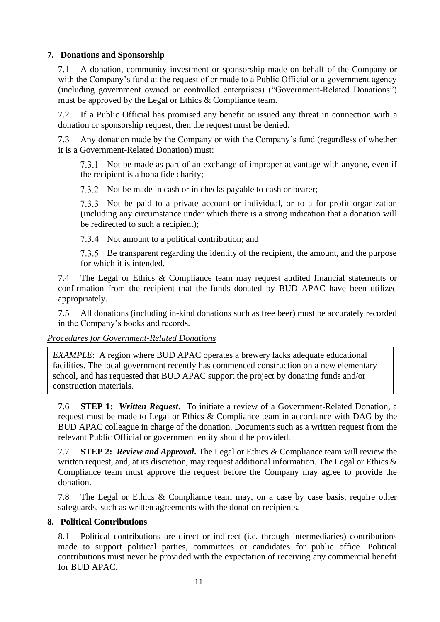# <span id="page-10-0"></span>**7. Donations and Sponsorship**

7.1 A donation, community investment or sponsorship made on behalf of the Company or with the Company's fund at the request of or made to a Public Official or a government agency (including government owned or controlled enterprises) ("Government-Related Donations") must be approved by the Legal or Ethics & Compliance team.

7.2 If a Public Official has promised any benefit or issued any threat in connection with a donation or sponsorship request, then the request must be denied.

7.3 Any donation made by the Company or with the Company's fund (regardless of whether it is a Government-Related Donation) must:

7.3.1 Not be made as part of an exchange of improper advantage with anyone, even if the recipient is a bona fide charity;

7.3.2 Not be made in cash or in checks payable to cash or bearer;

7.3.3 Not be paid to a private account or individual, or to a for-profit organization (including any circumstance under which there is a strong indication that a donation will be redirected to such a recipient);

7.3.4 Not amount to a political contribution; and

7.3.5 Be transparent regarding the identity of the recipient, the amount, and the purpose for which it is intended.

7.4 The Legal or Ethics & Compliance team may request audited financial statements or confirmation from the recipient that the funds donated by BUD APAC have been utilized appropriately.

7.5 All donations (including in-kind donations such as free beer) must be accurately recorded in the Company's books and records.

## *Procedures for Government-Related Donations*

*EXAMPLE*: A region where BUD APAC operates a brewery lacks adequate educational facilities. The local government recently has commenced construction on a new elementary school, and has requested that BUD APAC support the project by donating funds and/or construction materials.

7.6 **STEP 1:** *Written Request***.** To initiate a review of a Government-Related Donation, a request must be made to Legal or Ethics & Compliance team in accordance with DAG by the BUD APAC colleague in charge of the donation. Documents such as a written request from the relevant Public Official or government entity should be provided.

7.7 **STEP 2:** *Review and Approval***.** The Legal or Ethics & Compliance team will review the written request, and, at its discretion, may request additional information. The Legal or Ethics & Compliance team must approve the request before the Company may agree to provide the donation.

7.8 The Legal or Ethics & Compliance team may, on a case by case basis, require other safeguards, such as written agreements with the donation recipients.

## <span id="page-10-1"></span>**8. Political Contributions**

8.1 Political contributions are direct or indirect (i.e. through intermediaries) contributions made to support political parties, committees or candidates for public office. Political contributions must never be provided with the expectation of receiving any commercial benefit for BUD APAC.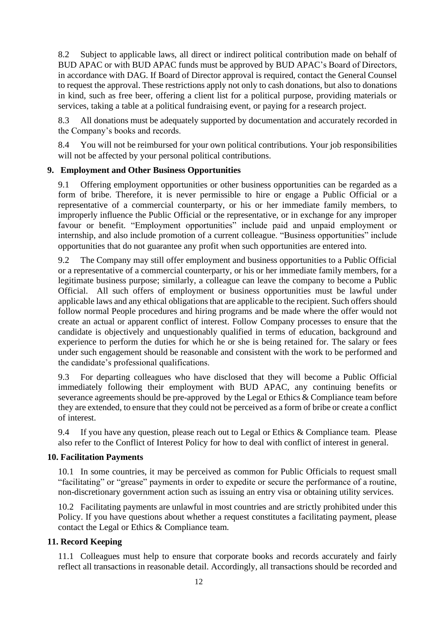8.2 Subject to applicable laws, all direct or indirect political contribution made on behalf of BUD APAC or with BUD APAC funds must be approved by BUD APAC's Board of Directors, in accordance with DAG. If Board of Director approval is required, contact the General Counsel to request the approval. These restrictions apply not only to cash donations, but also to donations in kind, such as free beer, offering a client list for a political purpose, providing materials or services, taking a table at a political fundraising event, or paying for a research project.

8.3 All donations must be adequately supported by documentation and accurately recorded in the Company's books and records.

8.4 You will not be reimbursed for your own political contributions. Your job responsibilities will not be affected by your personal political contributions.

# <span id="page-11-0"></span>**9. Employment and Other Business Opportunities**

9.1 Offering employment opportunities or other business opportunities can be regarded as a form of bribe. Therefore, it is never permissible to hire or engage a Public Official or a representative of a commercial counterparty, or his or her immediate family members, to improperly influence the Public Official or the representative, or in exchange for any improper favour or benefit. "Employment opportunities" include paid and unpaid employment or internship, and also include promotion of a current colleague. "Business opportunities" include opportunities that do not guarantee any profit when such opportunities are entered into.

9.2 The Company may still offer employment and business opportunities to a Public Official or a representative of a commercial counterparty, or his or her immediate family members, for a legitimate business purpose; similarly, a colleague can leave the company to become a Public Official. All such offers of employment or business opportunities must be lawful under applicable laws and any ethical obligations that are applicable to the recipient. Such offers should follow normal People procedures and hiring programs and be made where the offer would not create an actual or apparent conflict of interest. Follow Company processes to ensure that the candidate is objectively and unquestionably qualified in terms of education, background and experience to perform the duties for which he or she is being retained for. The salary or fees under such engagement should be reasonable and consistent with the work to be performed and the candidate's professional qualifications.

9.3 For departing colleagues who have disclosed that they will become a Public Official immediately following their employment with BUD APAC, any continuing benefits or severance agreements should be pre-approved by the Legal or Ethics & Compliance team before they are extended, to ensure that they could not be perceived as a form of bribe or create a conflict of interest.

9.4 If you have any question, please reach out to Legal or Ethics & Compliance team. Please also refer to the Conflict of Interest Policy for how to deal with conflict of interest in general.

## <span id="page-11-1"></span>**10. Facilitation Payments**

10.1 In some countries, it may be perceived as common for Public Officials to request small "facilitating" or "grease" payments in order to expedite or secure the performance of a routine, non-discretionary government action such as issuing an entry visa or obtaining utility services.

10.2 Facilitating payments are unlawful in most countries and are strictly prohibited under this Policy. If you have questions about whether a request constitutes a facilitating payment, please contact the Legal or Ethics & Compliance team.

## <span id="page-11-2"></span>**11. Record Keeping**

11.1 Colleagues must help to ensure that corporate books and records accurately and fairly reflect all transactions in reasonable detail. Accordingly, all transactions should be recorded and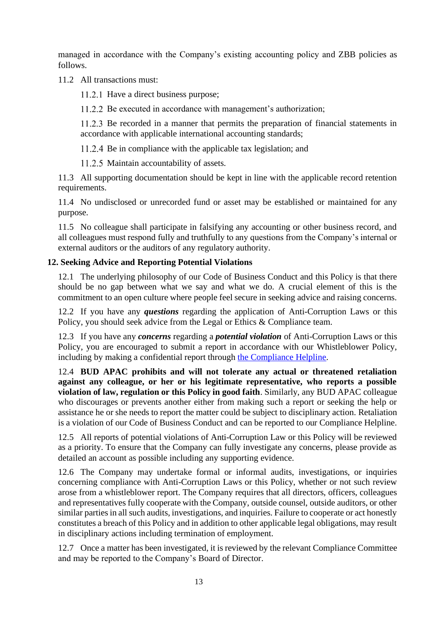managed in accordance with the Company's existing accounting policy and ZBB policies as follows.

11.2 All transactions must:

11.2.1 Have a direct business purpose;

11.2.2 Be executed in accordance with management's authorization;

11.2.3 Be recorded in a manner that permits the preparation of financial statements in accordance with applicable international accounting standards;

11.2.4 Be in compliance with the applicable tax legislation; and

11.2.5 Maintain accountability of assets.

11.3 All supporting documentation should be kept in line with the applicable record retention requirements.

11.4 No undisclosed or unrecorded fund or asset may be established or maintained for any purpose.

11.5 No colleague shall participate in falsifying any accounting or other business record, and all colleagues must respond fully and truthfully to any questions from the Company's internal or external auditors or the auditors of any regulatory authority.

# <span id="page-12-0"></span>**12. Seeking Advice and Reporting Potential Violations**

12.1 The underlying philosophy of our Code of Business Conduct and this Policy is that there should be no gap between what we say and what we do. A crucial element of this is the commitment to an open culture where people feel secure in seeking advice and raising concerns.

12.2 If you have any *questions* regarding the application of Anti-Corruption Laws or this Policy, you should seek advice from the Legal or Ethics & Compliance team.

12.3 If you have any *concerns* regarding a *potential violation* of Anti-Corruption Laws or this Policy, you are encouraged to submit a report in accordance with our Whistleblower Policy, including by making a confidential report through [the Compliance Helpline.](http://www.budweiserapac.com/caseReport)

12.4 **BUD APAC prohibits and will not tolerate any actual or threatened retaliation against any colleague, or her or his legitimate representative, who reports a possible violation of law, regulation or this Policy in good faith**. Similarly, any BUD APAC colleague who discourages or prevents another either from making such a report or seeking the help or assistance he or she needs to report the matter could be subject to disciplinary action. Retaliation is a violation of our Code of Business Conduct and can be reported to our Compliance Helpline.

12.5 All reports of potential violations of Anti-Corruption Law or this Policy will be reviewed as a priority. To ensure that the Company can fully investigate any concerns, please provide as detailed an account as possible including any supporting evidence.

12.6 The Company may undertake formal or informal audits, investigations, or inquiries concerning compliance with Anti-Corruption Laws or this Policy, whether or not such review arose from a whistleblower report. The Company requires that all directors, officers, colleagues and representatives fully cooperate with the Company, outside counsel, outside auditors, or other similar parties in all such audits, investigations, and inquiries. Failure to cooperate or act honestly constitutes a breach of this Policy and in addition to other applicable legal obligations, may result in disciplinary actions including termination of employment.

12.7 Once a matter has been investigated, it is reviewed by the relevant Compliance Committee and may be reported to the Company's Board of Director.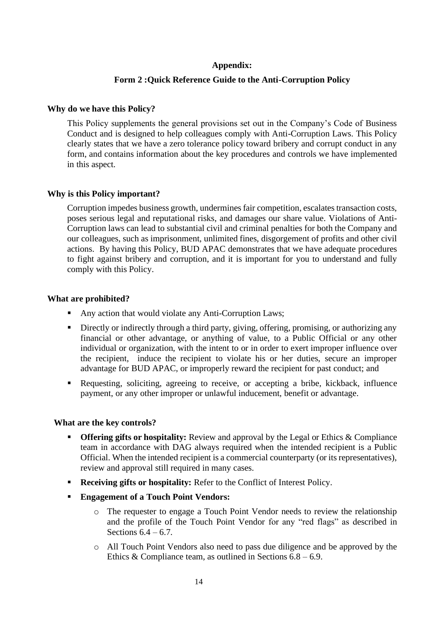#### **Appendix:**

#### **Form 2 :Quick Reference Guide to the Anti-Corruption Policy**

#### **Why do we have this Policy?**

This Policy supplements the general provisions set out in the Company's Code of Business Conduct and is designed to help colleagues comply with Anti-Corruption Laws. This Policy clearly states that we have a zero tolerance policy toward bribery and corrupt conduct in any form, and contains information about the key procedures and controls we have implemented in this aspect.

#### **Why is this Policy important?**

Corruption impedes business growth, undermines fair competition, escalates transaction costs, poses serious legal and reputational risks, and damages our share value. Violations of Anti-Corruption laws can lead to substantial civil and criminal penalties for both the Company and our colleagues, such as imprisonment, unlimited fines, disgorgement of profits and other civil actions. By having this Policy, BUD APAC demonstrates that we have adequate procedures to fight against bribery and corruption, and it is important for you to understand and fully comply with this Policy.

#### **What are prohibited?**

- Any action that would violate any Anti-Corruption Laws;
- **Example 1** Directly or indirectly through a third party, giving, offering, promising, or authorizing any financial or other advantage, or anything of value, to a Public Official or any other individual or organization, with the intent to or in order to exert improper influence over the recipient, induce the recipient to violate his or her duties, secure an improper advantage for BUD APAC, or improperly reward the recipient for past conduct; and
- Requesting, soliciting, agreeing to receive, or accepting a bribe, kickback, influence payment, or any other improper or unlawful inducement, benefit or advantage.

#### **What are the key controls?**

- **Offering gifts or hospitality:** Review and approval by the Legal or Ethics & Compliance team in accordance with DAG always required when the intended recipient is a Public Official. When the intended recipient is a commercial counterparty (or its representatives), review and approval still required in many cases.
- **Receiving gifts or hospitality:** Refer to the Conflict of Interest Policy.
- **Engagement of a Touch Point Vendors:** 
	- o The requester to engage a Touch Point Vendor needs to review the relationship and the profile of the Touch Point Vendor for any "red flags" as described in Sections  $6.4 - 6.7$ .
	- o All Touch Point Vendors also need to pass due diligence and be approved by the Ethics  $&$  Compliance team, as outlined in Sections 6.8 – 6.9.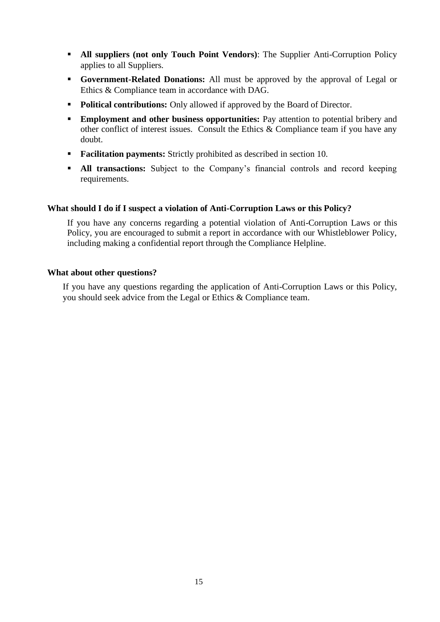- **All suppliers (not only Touch Point Vendors)**: The Supplier Anti-Corruption Policy applies to all Suppliers.
- **Government-Related Donations:** All must be approved by the approval of Legal or Ethics & Compliance team in accordance with DAG.
- **Political contributions:** Only allowed if approved by the Board of Director.
- **Employment and other business opportunities:** Pay attention to potential bribery and other conflict of interest issues. Consult the Ethics & Compliance team if you have any doubt.
- **Facilitation payments:** Strictly prohibited as described in section 10.
- **EXECUTE:** All transactions: Subject to the Company's financial controls and record keeping requirements.

#### **What should I do if I suspect a violation of Anti-Corruption Laws or this Policy?**

If you have any concerns regarding a potential violation of Anti-Corruption Laws or this Policy, you are encouraged to submit a report in accordance with our Whistleblower Policy, including making a confidential report through the Compliance Helpline.

#### **What about other questions?**

If you have any questions regarding the application of Anti-Corruption Laws or this Policy, you should seek advice from the Legal or Ethics & Compliance team.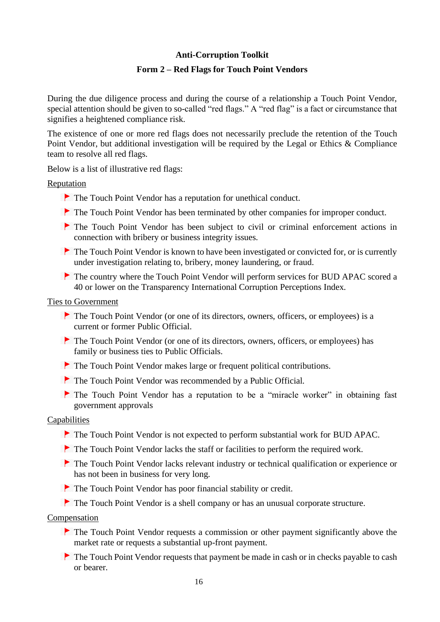#### **Anti-Corruption Toolkit**

#### **Form 2 – Red Flags for Touch Point Vendors**

During the due diligence process and during the course of a relationship a Touch Point Vendor, special attention should be given to so-called "red flags." A "red flag" is a fact or circumstance that signifies a heightened compliance risk.

The existence of one or more red flags does not necessarily preclude the retention of the Touch Point Vendor, but additional investigation will be required by the Legal or Ethics & Compliance team to resolve all red flags.

Below is a list of illustrative red flags:

**Reputation** 

- The Touch Point Vendor has a reputation for unethical conduct.
- The Touch Point Vendor has been terminated by other companies for improper conduct.
- The Touch Point Vendor has been subject to civil or criminal enforcement actions in connection with bribery or business integrity issues.
- The Touch Point Vendor is known to have been investigated or convicted for, or is currently under investigation relating to, bribery, money laundering, or fraud.
- The country where the Touch Point Vendor will perform services for BUD APAC scored a 40 or lower on the Transparency International Corruption Perceptions Index.

#### Ties to Government

- The Touch Point Vendor (or one of its directors, owners, officers, or employees) is a current or former Public Official.
- ▶ The Touch Point Vendor (or one of its directors, owners, officers, or employees) has family or business ties to Public Officials.
- The Touch Point Vendor makes large or frequent political contributions.
- The Touch Point Vendor was recommended by a Public Official.
- The Touch Point Vendor has a reputation to be a "miracle worker" in obtaining fast government approvals

#### Capabilities

- The Touch Point Vendor is not expected to perform substantial work for BUD APAC.
- The Touch Point Vendor lacks the staff or facilities to perform the required work.
- The Touch Point Vendor lacks relevant industry or technical qualification or experience or has not been in business for very long.
- The Touch Point Vendor has poor financial stability or credit.
- The Touch Point Vendor is a shell company or has an unusual corporate structure.

#### **Compensation**

- The Touch Point Vendor requests a commission or other payment significantly above the market rate or requests a substantial up-front payment.
- The Touch Point Vendor requests that payment be made in cash or in checks payable to cash or bearer.